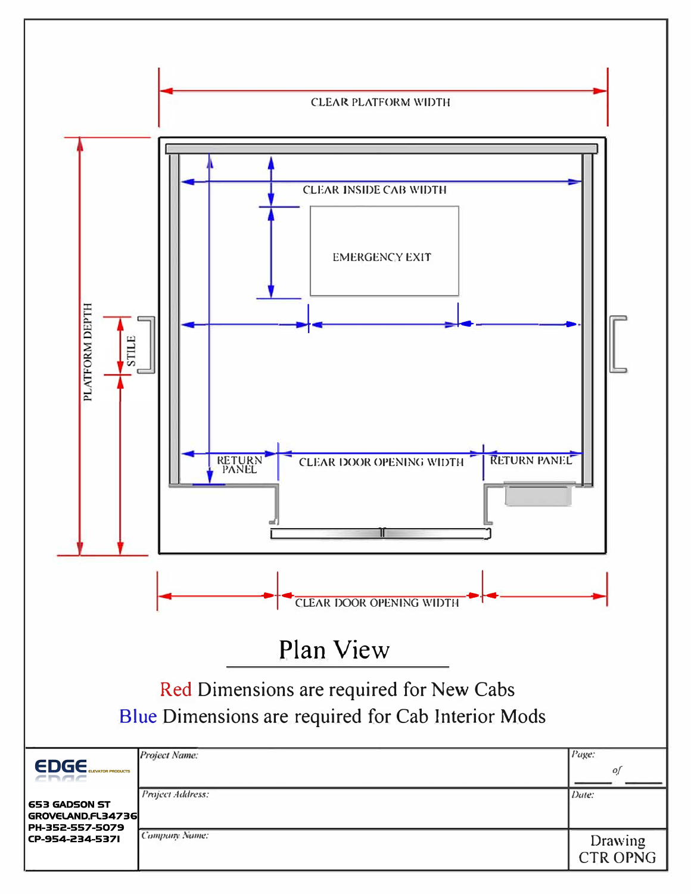